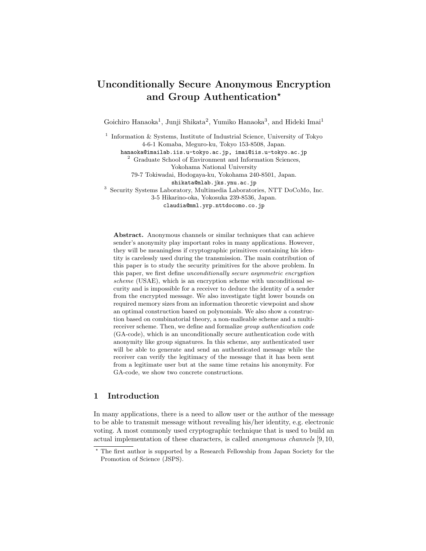# Unconditionally Secure Anonymous Encryption and Group Authentication\*

Goichiro Hanaoka<sup>1</sup>, Junji Shikata<sup>2</sup>, Yumiko Hanaoka<sup>3</sup>, and Hideki Imai<sup>1</sup>

<sup>1</sup> Information & Systems, Institute of Industrial Science, University of Tokyo 4-6-1 Komaba, Meguro-ku, Tokyo 153-8508, Japan.

hanaoka@imailab.iis.u-tokyo.ac.jp, imai@iis.u-tokyo.ac.jp

<sup>2</sup> Graduate School of Environment and Information Sciences, Yokohama National University

79-7 Tokiwadai, Hodogaya-ku, Yokohama 240-8501, Japan.

shikata@mlab.jks.ynu.ac.jp

<sup>3</sup> Security Systems Laboratory, Multimedia Laboratories, NTT DoCoMo, Inc.

3-5 Hikarino-oka, Yokosuka 239-8536, Japan.

claudia@mml.yrp.nttdocomo.co.jp

Abstract. Anonymous channels or similar techniques that can achieve sender's anonymity play important roles in many applications. However, they will be meaningless if cryptographic primitives containing his identity is carelessly used during the transmission. The main contribution of this paper is to study the security primitives for the above problem. In this paper, we first define unconditionally secure asymmetric encryption scheme (USAE), which is an encryption scheme with unconditional security and is impossible for a receiver to deduce the identity of a sender from the encrypted message. We also investigate tight lower bounds on required memory sizes from an information theoretic viewpoint and show an optimal construction based on polynomials. We also show a construction based on combinatorial theory, a non-malleable scheme and a multireceiver scheme. Then, we define and formalize group authentication code (GA-code), which is an unconditionally secure authentication code with anonymity like group signatures. In this scheme, any authenticated user will be able to generate and send an authenticated message while the receiver can verify the legitimacy of the message that it has been sent from a legitimate user but at the same time retains his anonymity. For GA-code, we show two concrete constructions.

## 1 Introduction

In many applications, there is a need to allow user or the author of the message to be able to transmit message without revealing his/her identity, e.g. electronic voting. A most commonly used cryptographic technique that is used to build an actual implementation of these characters, is called anonymous channels [9, 10,

<sup>?</sup> The first author is supported by a Research Fellowship from Japan Society for the Promotion of Science (JSPS).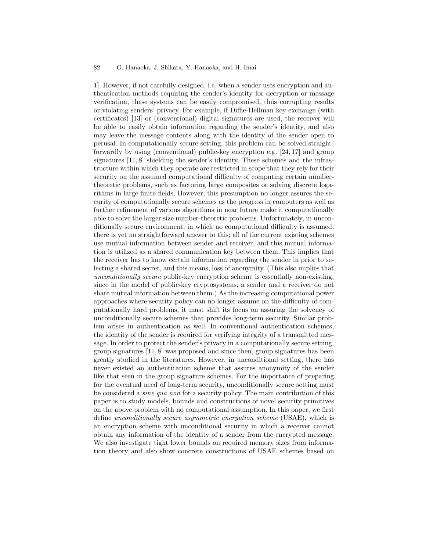1]. However, if not carefully designed, i.e. when a sender uses encryption and authentication methods requiring the sender's identity for decryption or message verification, these systems can be easily compromised, thus corrupting results or violating senders' privacy. For example, if Diffie-Hellman key exchange (with certificates) [13] or (conventional) digital signatures are used, the receiver will be able to easily obtain information regarding the sender's identity, and also may leave the message contents along with the identity of the sender open to perusal. In computationally secure setting, this problem can be solved straightforwardly by using (conventional) public-key encryption e.g. [24, 17] and group signatures [11, 8] shielding the sender's identity. These schemes and the infrastructure within which they operate are restricted in scope that they rely for their security on the assumed computational difficulty of computing certain numbertheoretic problems, such as factoring large composites or solving discrete logarithms in large finite fields. However, this presumption no longer assures the security of computationally secure schemes as the progress in computers as well as further refinement of various algorithms in near future make it computationally able to solve the larger size number-theoretic problems. Unfortunately, in unconditionally secure environment, in which no computational difficulty is assumed, there is yet no straightforward answer to this; all of the current existing schemes use mutual information between sender and receiver, and this mutual information is utilized as a shared communication key between them. This implies that the receiver has to know certain information regarding the sender in prior to selecting a shared secret, and this means, loss of anonymity. (This also implies that unconditionally secure public-key encryption scheme is essentially non-existing, since in the model of public-key cryptosystems, a sender and a receiver do not share mutual information between them.) As the increasing computational power approaches where security policy can no longer assume on the difficulty of computationally hard problems, it must shift its focus on assuring the solvency of unconditionally secure schemes that provides long-term security. Similar problem arises in authentication as well. In conventional authentication schemes, the identity of the sender is required for verifying integrity of a transmitted message. In order to protect the sender's privacy in a computationally secure setting, group signatures [11, 8] was proposed and since then, group signatures has been greatly studied in the literatures. However, in unconditional setting, there has never existed an authentication scheme that assures anonymity of the sender like that seen in the group signature schemes. For the importance of preparing for the eventual need of long-term security, unconditionally secure setting must be considered a sine qua non for a security policy. The main contribution of this paper is to study models, bounds and constructions of novel security primitives on the above problem with no computational assumption. In this paper, we first define unconditionally secure asymmetric encryption scheme (USAE), which is an encryption scheme with unconditional security in which a receiver cannot obtain any information of the identity of a sender from the encrypted message. We also investigate tight lower bounds on required memory sizes from information theory and also show concrete constructions of USAE schemes based on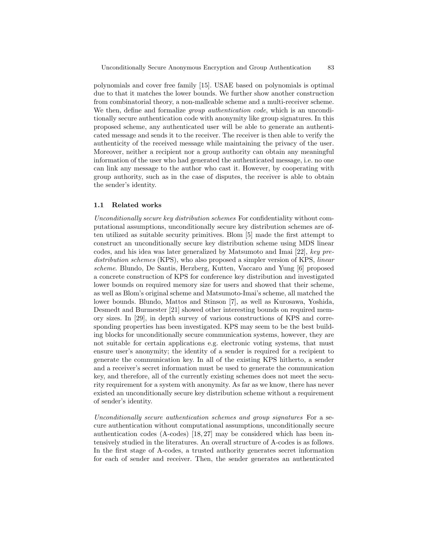polynomials and cover free family [15]. USAE based on polynomials is optimal due to that it matches the lower bounds. We further show another construction from combinatorial theory, a non-malleable scheme and a multi-receiver scheme. We then, define and formalize *group authentication code*, which is an unconditionally secure authentication code with anonymity like group signatures. In this proposed scheme, any authenticated user will be able to generate an authenticated message and sends it to the receiver. The receiver is then able to verify the authenticity of the received message while maintaining the privacy of the user. Moreover, neither a recipient nor a group authority can obtain any meaningful information of the user who had generated the authenticated message, i.e. no one can link any message to the author who cast it. However, by cooperating with group authority, such as in the case of disputes, the receiver is able to obtain the sender's identity.

### 1.1 Related works

Unconditionally secure key distribution schemes For confidentiality without computational assumptions, unconditionally secure key distribution schemes are often utilized as suitable security primitives. Blom [5] made the first attempt to construct an unconditionally secure key distribution scheme using MDS linear codes, and his idea was later generalized by Matsumoto and Imai [22], key predistribution schemes (KPS), who also proposed a simpler version of KPS, linear scheme. Blundo, De Santis, Herzberg, Kutten, Vaccaro and Yung [6] proposed a concrete construction of KPS for conference key distribution and investigated lower bounds on required memory size for users and showed that their scheme, as well as Blom's original scheme and Matsumoto-Imai's scheme, all matched the lower bounds. Blundo, Mattos and Stinson [7], as well as Kurosawa, Yoshida, Desmedt and Burmester [21] showed other interesting bounds on required memory sizes. In [29], in depth survey of various constructions of KPS and corresponding properties has been investigated. KPS may seem to be the best building blocks for unconditionally secure communication systems, however, they are not suitable for certain applications e.g. electronic voting systems, that must ensure user's anonymity; the identity of a sender is required for a recipient to generate the communication key. In all of the existing KPS hitherto, a sender and a receiver's secret information must be used to generate the communication key, and therefore, all of the currently existing schemes does not meet the security requirement for a system with anonymity. As far as we know, there has never existed an unconditionally secure key distribution scheme without a requirement of sender's identity.

Unconditionally secure authentication schemes and group signatures For a secure authentication without computational assumptions, unconditionally secure authentication codes (A-codes) [18, 27] may be considered which has been intensively studied in the literatures. An overall structure of A-codes is as follows. In the first stage of A-codes, a trusted authority generates secret information for each of sender and receiver. Then, the sender generates an authenticated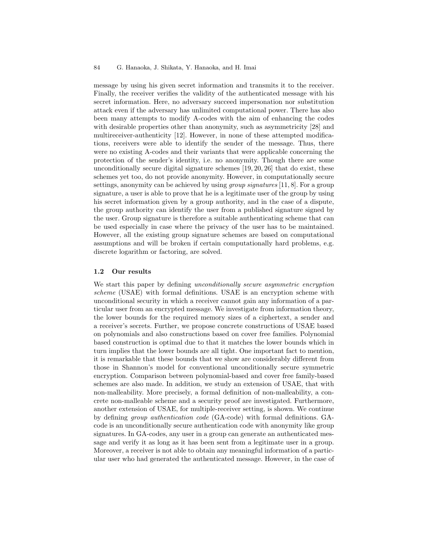message by using his given secret information and transmits it to the receiver. Finally, the receiver verifies the validity of the authenticated message with his secret information. Here, no adversary succeed impersonation nor substitution attack even if the adversary has unlimited computational power. There has also been many attempts to modify A-codes with the aim of enhancing the codes with desirable properties other than anonymity, such as asymmetricity [28] and multireceiver-authenticity [12]. However, in none of these attempted modifications, receivers were able to identify the sender of the message. Thus, there were no existing A-codes and their variants that were applicable concerning the protection of the sender's identity, i.e. no anonymity. Though there are some unconditionally secure digital signature schemes [19, 20, 26] that do exist, these schemes yet too, do not provide anonymity. However, in computationally secure settings, anonymity can be achieved by using *group signatures* [11, 8]. For a group signature, a user is able to prove that he is a legitimate user of the group by using his secret information given by a group authority, and in the case of a dispute, the group authority can identify the user from a published signature signed by the user. Group signature is therefore a suitable authenticating scheme that can be used especially in case where the privacy of the user has to be maintained. However, all the existing group signature schemes are based on computational assumptions and will be broken if certain computationally hard problems, e.g. discrete logarithm or factoring, are solved.

### 1.2 Our results

We start this paper by defining unconditionally secure asymmetric encryption scheme (USAE) with formal definitions. USAE is an encryption scheme with unconditional security in which a receiver cannot gain any information of a particular user from an encrypted message. We investigate from information theory, the lower bounds for the required memory sizes of a ciphertext, a sender and a receiver's secrets. Further, we propose concrete constructions of USAE based on polynomials and also constructions based on cover free families. Polynomial based construction is optimal due to that it matches the lower bounds which in turn implies that the lower bounds are all tight. One important fact to mention, it is remarkable that these bounds that we show are considerably different from those in Shannon's model for conventional unconditionally secure symmetric encryption. Comparison between polynomial-based and cover free family-based schemes are also made. In addition, we study an extension of USAE, that with non-malleability. More precisely, a formal definition of non-malleability, a concrete non-malleable scheme and a security proof are investigated. Furthermore, another extension of USAE, for multiple-receiver setting, is shown. We continue by defining group authentication code (GA-code) with formal definitions. GAcode is an unconditionally secure authentication code with anonymity like group signatures. In GA-codes, any user in a group can generate an authenticated message and verify it as long as it has been sent from a legitimate user in a group. Moreover, a receiver is not able to obtain any meaningful information of a particular user who had generated the authenticated message. However, in the case of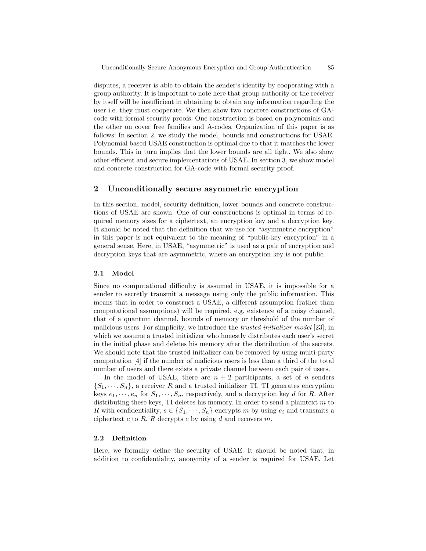disputes, a receiver is able to obtain the sender's identity by cooperating with a group authority. It is important to note here that group authority or the receiver by itself will be insufficient in obtaining to obtain any information regarding the user i.e. they must cooperate. We then show two concrete constructions of GAcode with formal security proofs. One construction is based on polynomials and the other on cover free families and A-codes. Organization of this paper is as follows: In section 2, we study the model, bounds and constructions for USAE. Polynomial based USAE construction is optimal due to that it matches the lower bounds. This in turn implies that the lower bounds are all tight. We also show other efficient and secure implementations of USAE. In section 3, we show model and concrete construction for GA-code with formal security proof.

### 2 Unconditionally secure asymmetric encryption

In this section, model, security definition, lower bounds and concrete constructions of USAE are shown. One of our constructions is optimal in terms of required memory sizes for a ciphertext, an encryption key and a decryption key. It should be noted that the definition that we use for "asymmetric encryption" in this paper is not equivalent to the meaning of "public-key encryption" in a general sense. Here, in USAE, "asymmetric" is used as a pair of encryption and decryption keys that are asymmetric, where an encryption key is not public.

#### 2.1 Model

Since no computational difficulty is assumed in USAE, it is impossible for a sender to secretly transmit a message using only the public information. This means that in order to construct a USAE, a different assumption (rather than computational assumptions) will be required, e.g. existence of a noisy channel, that of a quantum channel, bounds of memory or threshold of the number of malicious users. For simplicity, we introduce the trusted initializer model [23], in which we assume a trusted initializer who honestly distributes each user's secret in the initial phase and deletes his memory after the distribution of the secrets. We should note that the trusted initializer can be removed by using multi-party computation [4] if the number of malicious users is less than a third of the total number of users and there exists a private channel between each pair of users.

In the model of USAE, there are  $n + 2$  participants, a set of n senders  $\{S_1, \dots, S_n\}$ , a receiver R and a trusted initializer TI. TI generates encryption keys  $e_1, \dots, e_n$  for  $S_1, \dots, S_n$ , respectively, and a decryption key d for R. After distributing these keys, TI deletes his memory. In order to send a plaintext  $m$  to R with confidentiality,  $s \in \{S_1, \dots, S_n\}$  encrypts m by using  $e_i$  and transmits a ciphertext  $c$  to  $R$ .  $R$  decrypts  $c$  by using  $d$  and recovers  $m$ .

### 2.2 Definition

Here, we formally define the security of USAE. It should be noted that, in addition to confidentiality, anonymity of a sender is required for USAE. Let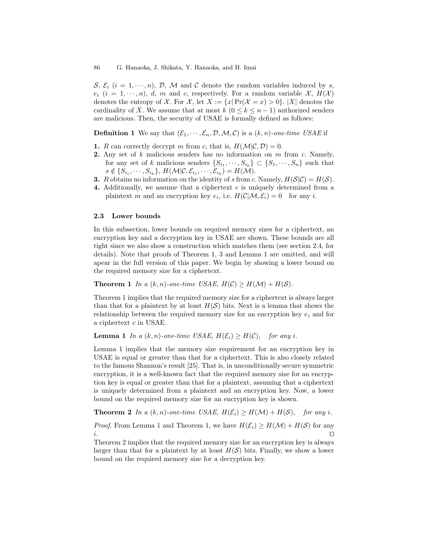$S, \mathcal{E}_i$   $(i = 1, \dots, n), \mathcal{D}, \mathcal{M}$  and C denote the random variables induced by s,  $e_i$   $(i = 1, \dots, n)$ , d, m and c, respectively. For a random variable X,  $H(\mathcal{X})$ denotes the entropy of X. For X, let  $X := \{x | \Pr(X = x) > 0\}$ . |X| denotes the cardinality of X. We assume that at most  $k$  ( $0 \leq k \leq n-1$ ) authorized senders are malicious. Then, the security of USAE is formally defined as follows:

**Definition 1** We say that  $(\mathcal{E}_1, \dots, \mathcal{E}_n, \mathcal{D}, \mathcal{M}, \mathcal{C})$  is a  $(k, n)$ -one-time USAE if

- 1. R can correctly decrypt m from c, that is,  $H(M|\mathcal{C}, \mathcal{D}) = 0$ .
- **2.** Any set of k malicious senders has no information on  $m$  from  $c$ . Namely, for any set of k malicious senders  $\{S_{i_1}, \dots, S_{i_k}\} \subset \{S_1, \dots, S_n\}$  such that  $s \notin \{S_{i_1}, \cdots, S_{i_k}\}, H(M|C, \mathcal{E}_{i_1}, \cdots, \mathcal{E}_{i_k}) = H(M).$
- **3.** R obtains no information on the identity of s from c. Namely,  $H(S|\mathcal{C}) = H(\mathcal{S})$ .
- **4.** Additionally, we assume that a ciphertext  $c$  is uniquely determined from a plaintext m and an encryption key  $e_i$ , i.e.  $H(C|M,\mathcal{E}_i) = 0$  for any i.

### 2.3 Lower bounds

In this subsection, lower bounds on required memory sizes for a ciphertext, an encryption key and a decryption key in USAE are shown. These bounds are all tight since we also show a construction which matches them (see section 2.4, for details). Note that proofs of Theorem 1, 3 and Lemma 1 are omitted, and will apear in the full version of this paper. We begin by showing a lower bound on the required memory size for a ciphertext.

**Theorem 1** In a  $(k, n)$ -one-time USAE,  $H(\mathcal{C}) > H(\mathcal{M}) + H(\mathcal{S})$ .

Theorem 1 implies that the required memory size for a ciphertext is always larger than that for a plaintext by at least  $H(S)$  bits. Next is a lemma that shows the relationship between the required memory size for an encryption key  $e_i$  and for a ciphertext c in USAE.

**Lemma 1** In a  $(k, n)$ -one-time USAE,  $H(\mathcal{E}_i) \geq H(\mathcal{C})$ , for any i.

Lemma 1 implies that the memory size requirement for an encryption key in USAE is equal or greater than that for a ciphertext. This is also closely related to the famous Shannon's result [25]. That is, in unconditionally secure symmetric encryption, it is a well-known fact that the required memory size for an encryption key is equal or greater than that for a plaintext, assuming that a ciphertext is uniquely determined from a plaintext and an encryption key. Now, a lower bound on the required memory size for an encryption key is shown.

**Theorem 2** In a  $(k, n)$ -one-time USAE,  $H(\mathcal{E}_i) \ge H(\mathcal{M}) + H(\mathcal{S})$ , for any i.

*Proof.* From Lemma 1 and Theorem 1, we have  $H(\mathcal{E}_i) \geq H(\mathcal{M}) + H(\mathcal{S})$  for any i.  $\Box$ 

Theorem 2 implies that the required memory size for an encryption key is always larger than that for a plaintext by at least  $H(S)$  bits. Finally, we show a lower bound on the required memory size for a decryption key.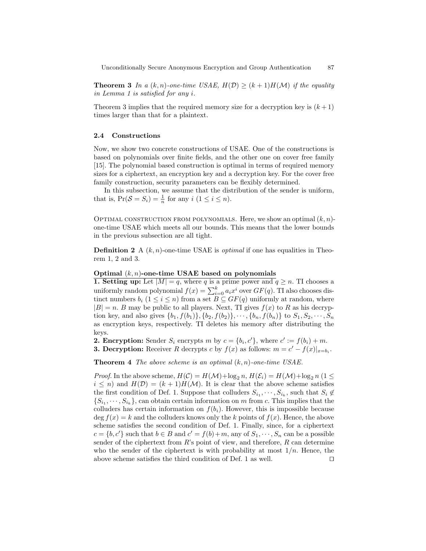**Theorem 3** In a  $(k, n)$ -one-time USAE,  $H(\mathcal{D}) \geq (k+1)H(\mathcal{M})$  if the equality in Lemma 1 is satisfied for any i.

Theorem 3 implies that the required memory size for a decryption key is  $(k+1)$ times larger than that for a plaintext.

#### 2.4 Constructions

Now, we show two concrete constructions of USAE. One of the constructions is based on polynomials over finite fields, and the other one on cover free family [15]. The polynomial based construction is optimal in terms of required memory sizes for a ciphertext, an encryption key and a decryption key. For the cover free family construction, security parameters can be flexibly determined.

In this subsection, we assume that the distribution of the sender is uniform, that is,  $Pr(\mathcal{S} = S_i) = \frac{1}{n}$  for any  $i$   $(1 \le i \le n)$ .

OPTIMAL CONSTRUCTION FROM POLYNOMIALS. Here, we show an optimal  $(k, n)$ one-time USAE which meets all our bounds. This means that the lower bounds in the previous subsection are all tight.

**Definition 2** A  $(k, n)$ -one-time USAE is *optimal* if one has equalities in Theorem 1, 2 and 3.

#### Optimal  $(k, n)$ -one-time USAE based on polynomials

**1. Setting up:** Let  $|M| = q$ , where q is a prime power and  $q \geq n$ . TI chooses a uniformly random polynomial  $f(x) = \sum_{i=0}^{k} a_i x^i$  over  $GF(q)$ . TI also chooses distinct numbers  $b_i$   $(1 \le i \le n)$  from a set  $B \subseteq GF(q)$  uniformly at random, where  $|B| = n$ . B may be public to all players. Next, TI gives  $f(x)$  to R as his decryption key, and also gives  $\{b_1, f(b_1)\}, \{b_2, f(b_2)\}, \cdots, \{b_n, f(b_n)\}\$  to  $S_1, S_2, \cdots, S_n$ as encryption keys, respectively. TI deletes his memory after distributing the keys.

**2. Encryption:** Sender  $S_i$  encrypts m by  $c = \{b_i, c'\}$ , where  $c' := f(b_i) + m$ . **3. Decryption:** Receiver R decrypts c by  $f(x)$  as follows:  $m = c' - f(x)|_{x=b_i}$ .

**Theorem 4** The above scheme is an optimal  $(k, n)$ -one-time USAE.

*Proof.* In the above scheme,  $H(\mathcal{C}) = H(\mathcal{M}) + \log_2 n$ ,  $H(\mathcal{E}_i) = H(\mathcal{M}) + \log_2 n$  (1  $\leq$  $i \leq n$ ) and  $H(\mathcal{D}) = (k+1)H(\mathcal{M})$ . It is clear that the above scheme satisfies the first condition of Def. 1. Suppose that colluders  $S_{i_1}, \dots, S_{i_k}$ , such that  $S_i \notin$  $\{S_{i_1}, \dots, S_{i_k}\}\)$ , can obtain certain information on m from c. This implies that the colluders has certain information on  $f(b_i)$ . However, this is impossible because  $\deg f(x) = k$  and the colluders knows only the k points of  $f(x)$ . Hence, the above scheme satisfies the second condition of Def. 1. Finally, since, for a ciphertext  $c = \{b, c'\}$  such that  $b \in B$  and  $c' = f(b) + m$ , any of  $S_1, \dots, S_n$  can be a possible sender of the ciphertext from  $R$ 's point of view, and therefore,  $R$  can determine who the sender of the ciphertext is with probability at most  $1/n$ . Hence, the above scheme satisfies the third condition of Def. 1 as well.  $\Box$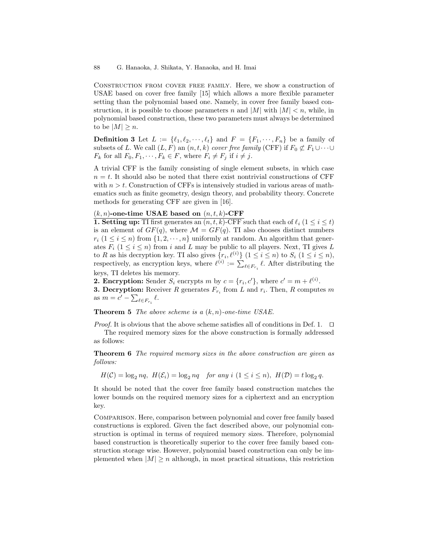Construction from cover free family. Here, we show a construction of USAE based on cover free family [15] which allows a more flexible parameter setting than the polynomial based one. Namely, in cover free family based construction, it is possible to choose parameters n and  $|M|$  with  $|M| < n$ , while, in polynomial based construction, these two parameters must always be determined to be  $|M| \geq n$ .

**Definition 3** Let  $L := \{\ell_1, \ell_2, \dots, \ell_t\}$  and  $F = \{F_1, \dots, F_n\}$  be a family of subsets of L. We call  $(L, F)$  an  $(n, t, k)$  cover free family (CFF) if  $F_0 \not\subset F_1 \cup \cdots \cup$  $F_k$  for all  $F_0, F_1, \dots, F_k \in F$ , where  $F_i \neq F_j$  if  $i \neq j$ .

A trivial CFF is the family consisting of single element subsets, in which case  $n = t$ . It should also be noted that there exist nontrivial constructions of CFF with  $n > t$ . Construction of CFFs is intensively studied in various areas of mathematics such as finite geometry, design theory, and probability theory. Concrete methods for generating CFF are given in [16].

### $(k, n)$ -one-time USAE based on  $(n, t, k)$ -CFF

**1. Setting up:** TI first generates an  $(n,t,k)$ -CFF such that each of  $\ell_i$  ( $1 \leq i \leq t$ ) is an element of  $GF(q)$ , where  $\mathcal{M} = GF(q)$ . TI also chooses distinct numbers  $r_i$   $(1 \leq i \leq n)$  from  $\{1, 2, \dots, n\}$  uniformly at random. An algorithm that generates  $F_i$  ( $1 \le i \le n$ ) from i and L may be public to all players. Next, TI gives L to R as his decryption key. TI also gives  $\{r_i, \ell^{(i)}\}$   $(1 \leq i \leq n)$  to  $S_i$   $(1 \leq i \leq n)$ , respectively, as encryption keys, where  $\ell^{(i)} := \sum_{\ell \in F_{r_i}} \ell$ . After distributing the keys, TI deletes his memory.

**2. Encryption:** Sender  $S_i$  encrypts m by  $c = \{r_i, c'\}$ , where  $c' = m + \ell^{(i)}$ .

**3. Decryption:** Receiver R generates  $F_{r_i}$  from L and  $r_i$ . Then, R computes m as  $m = c' - \sum_{\ell \in F_{r_i}} \ell$ .

**Theorem 5** The above scheme is a  $(k, n)$ -one-time USAE.

*Proof.* It is obvious that the above scheme satisfies all of conditions in Def. 1.  $\Box$ 

The required memory sizes for the above construction is formally addressed as follows:

Theorem 6 The required memory sizes in the above construction are given as follows:

 $H(\mathcal{C}) = \log_2 nq$ ,  $H(\mathcal{E}_i) = \log_2 nq$  for any  $i$   $(1 \leq i \leq n)$ ,  $H(\mathcal{D}) = t \log_2 q$ .

It should be noted that the cover free family based construction matches the lower bounds on the required memory sizes for a ciphertext and an encryption key.

Comparison. Here, comparison between polynomial and cover free family based constructions is explored. Given the fact described above, our polynomial construction is optimal in terms of required memory sizes. Therefore, polynomial based construction is theoretically superior to the cover free family based construction storage wise. However, polynomial based construction can only be implemented when  $|M| \geq n$  although, in most practical situations, this restriction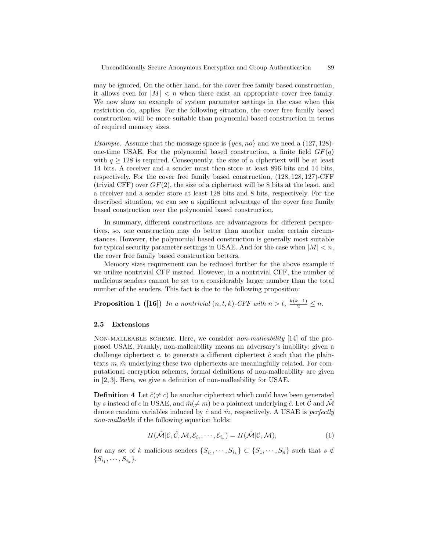may be ignored. On the other hand, for the cover free family based construction, it allows even for  $|M| < n$  when there exist an appropriate cover free family. We now show an example of system parameter settings in the case when this restriction do, applies. For the following situation, the cover free family based construction will be more suitable than polynomial based construction in terms of required memory sizes.

*Example.* Assume that the message space is  $\{yes, no\}$  and we need a  $(127, 128)$ one-time USAE. For the polynomial based construction, a finite field  $GF(q)$ with  $q \geq 128$  is required. Consequently, the size of a ciphertext will be at least 14 bits. A receiver and a sender must then store at least 896 bits and 14 bits, respectively. For the cover free family based construction, (128, 128, 127)-CFF (trivial CFF) over  $GF(2)$ , the size of a ciphertext will be 8 bits at the least, and a receiver and a sender store at least 128 bits and 8 bits, respectively. For the described situation, we can see a significant advantage of the cover free family based construction over the polynomial based construction.

In summary, different constructions are advantageous for different perspectives, so, one construction may do better than another under certain circumstances. However, the polynomial based construction is generally most suitable for typical security parameter settings in USAE. And for the case when  $|M| < n$ , the cover free family based construction betters.

Memory sizes requirement can be reduced further for the above example if we utilize nontrivial CFF instead. However, in a nontrivial CFF, the number of malicious senders cannot be set to a considerably larger number than the total number of the senders. This fact is due to the following proposition:

**Proposition 1** ([16]) In a nontrivial  $(n, t, k)$ -CFF with  $n > t$ ,  $\frac{k(k-1)}{2} \leq n$ .

#### 2.5 Extensions

NON-MALLEABLE SCHEME. Here, we consider *non-malleability* [14] of the proposed USAE. Frankly, non-malleability means an adversary's inability: given a challenge ciphertext  $c$ , to generate a different ciphertext  $\hat{c}$  such that the plaintexts  $m, \hat{m}$  underlying these two ciphertexts are meaningfully related. For computational encryption schemes, formal definitions of non-malleability are given in [2, 3]. Here, we give a definition of non-malleability for USAE.

**Definition 4** Let  $\hat{c}(\neq c)$  be another ciphertext which could have been generated by s instead of c in USAE, and  $\hat{m}(\neq m)$  be a plaintext underlying  $\hat{c}$ . Let  $\hat{C}$  and  $\hat{M}$ denote random variables induced by  $\hat{c}$  and  $\hat{m}$ , respectively. A USAE is *perfectly* non-malleable if the following equation holds:

$$
H(\hat{\mathcal{M}}|\mathcal{C}, \hat{\mathcal{C}}, \mathcal{M}, \mathcal{E}_{i_1}, \cdots, \mathcal{E}_{i_k}) = H(\hat{\mathcal{M}}|\mathcal{C}, \mathcal{M}),
$$
\n(1)

for any set of k malicious senders  $\{S_{i_1}, \dots, S_{i_k}\} \subset \{S_1, \dots, S_n\}$  such that  $s \notin$  $\{S_{i_1}, \cdots, S_{i_k}\}.$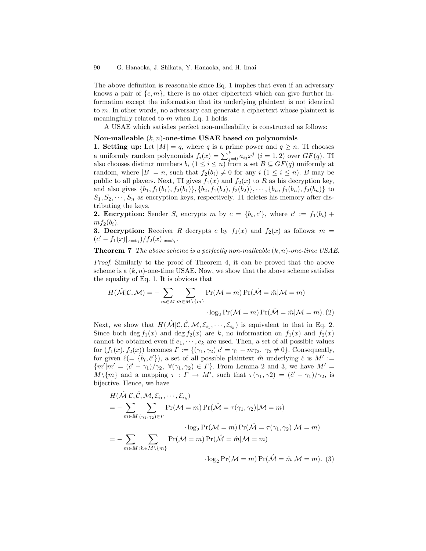The above definition is reasonable since Eq. 1 implies that even if an adversary knows a pair of  $\{c, m\}$ , there is no other ciphertext which can give further information except the information that its underlying plaintext is not identical to m. In other words, no adversary can generate a ciphertext whose plaintext is meaningfully related to  $m$  when Eq. 1 holds.

A USAE which satisfies perfect non-malleability is constructed as follows:

### Non-malleable  $(k, n)$ -one-time USAE based on polynomials

**1. Setting up:** Let  $|M| = q$ , where q is a prime power and  $q \geq n$ . TI chooses a uniformly random polynomials  $f_i(x) = \sum_{j=0}^{k} a_{ij} x^j$   $(i = 1, 2)$  over  $GF(q)$ . Then also chooses distinct numbers  $b_i$   $(1 \leq i \leq n)$  from a set  $B \subseteq GF(q)$  uniformly at random, where  $|B| = n$ , such that  $f_2(b_i) \neq 0$  for any  $i (1 \leq i \leq n)$ . B may be public to all players. Next, TI gives  $f_1(x)$  and  $f_2(x)$  to R as his decryption key, and also gives  $\{b_1, f_1(b_1), f_2(b_1)\}, \{b_2, f_1(b_2), f_2(b_2)\}, \cdots, \{b_n, f_1(b_n), f_2(b_n)\}\)$  to  $S_1, S_2, \dots, S_n$  as encryption keys, respectively. TI deletes his memory after distributing the keys.

**2. Encryption:** Sender  $S_i$  encrypts m by  $c = \{b_i, c'\}$ , where  $c' := f_1(b_i)$  +  $m f_2(b_i)$ .

**3. Decryption:** Receiver R decrypts c by  $f_1(x)$  and  $f_2(x)$  as follows:  $m =$  $(c'-f_1(x)|_{x=b_i})/f_2(x)|_{x=b_i}.$ 

### **Theorem 7** The above scheme is a perfectly non-malleable  $(k, n)$ -one-time USAE.

Proof. Similarly to the proof of Theorem 4, it can be proved that the above scheme is a  $(k, n)$ -one-time USAE. Now, we show that the above scheme satisfies the equality of Eq. 1. It is obvious that

$$
H(\hat{\mathcal{M}}|\mathcal{C},\mathcal{M}) = -\sum_{m \in M} \sum_{\hat{m} \in M \setminus \{m\}} \Pr(\mathcal{M} = m) \Pr(\hat{\mathcal{M}} = \hat{m}|\mathcal{M} = m)
$$

$$
\log_2 \Pr(\mathcal{M} = m) \Pr(\hat{\mathcal{M}} = \hat{m}|\mathcal{M} = m). (2)
$$

Next, we show that  $H(\hat{\mathcal{M}}|\mathcal{C}, \hat{\mathcal{C}}, \mathcal{M}, \mathcal{E}_{i_1}, \cdots, \mathcal{E}_{i_k})$  is equivalent to that in Eq. 2. Since both deg  $f_1(x)$  and deg  $f_2(x)$  are k, no information on  $f_1(x)$  and  $f_2(x)$ cannot be obtained even if  $e_1, \dots, e_k$  are used. Then, a set of all possible values for  $(f_1(x), f_2(x))$  becomes  $\Gamma := \{(\gamma_1, \gamma_2) | c' = \gamma_1 + m\gamma_2, \ \gamma_2 \neq 0\}$ . Consequently, for given  $\hat{c}$  = { $b_i, \hat{c}'$ }, a set of all possible plaintext  $\hat{m}$  underlying  $\hat{c}$  is  $M' :=$  ${m'm' = (\hat{c}' - \gamma_1)/\gamma_2, \ \forall (\gamma_1, \gamma_2) \in \Gamma}$ . From Lemma 2 and 3, we have  $M' =$  $M\setminus\{m\}$  and a mapping  $\tau: \Gamma \to M'$ , such that  $\tau(\gamma_1, \gamma_2) = (\hat{c}' - \gamma_1)/\gamma_2$ , is bijective. Hence, we have

$$
H(\hat{\mathcal{M}}|\mathcal{C}, \hat{\mathcal{C}}, \mathcal{M}, \mathcal{E}_{i_1}, \cdots, \mathcal{E}_{i_k})
$$
  
=  $-\sum_{m \in M} \sum_{(\gamma_1, \gamma_2) \in \Gamma} \Pr(\mathcal{M} = m) \Pr(\hat{\mathcal{M}} = \tau(\gamma_1, \gamma_2) | \mathcal{M} = m)$   
 $= -\sum_{m \in M} \sum_{\hat{m} \in \mathcal{M} \setminus \{m\}} \Pr(\mathcal{M} = m) \Pr(\hat{\mathcal{M}} = \hat{m} | \mathcal{M} = m)$   
 $\log_2 \Pr(\mathcal{M} = \hat{m}) \mathcal{M} = m)$   
 $\log_2 \Pr(\mathcal{M} = m) \Pr(\hat{\mathcal{M}} = \hat{m} | \mathcal{M} = m).$  (3)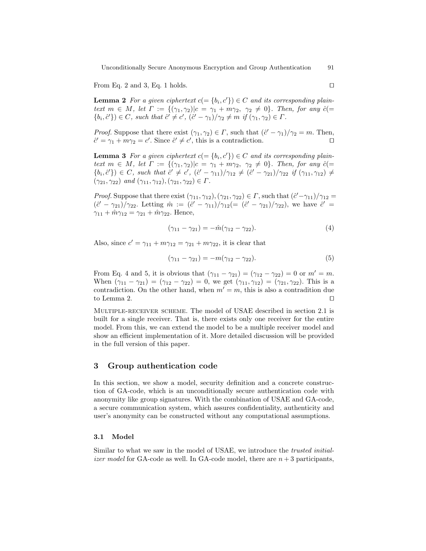Unconditionally Secure Anonymous Encryption and Group Authentication 91

From Eq. 2 and 3, Eq. 1 holds.  $\square$ 

**Lemma 2** For a given ciphertext  $c = \{b_i, c'\} \in C$  and its corresponding plaintext  $m \in M$ , let  $\Gamma := \{(\gamma_1, \gamma_2) | c = \gamma_1 + m\gamma_2, \gamma_2 \neq 0\}$ . Then, for any  $\hat{c} (=$  $\{b_i, \hat{c}'\}\}\in C$ , such that  $\hat{c}' \neq c'$ ,  $(\hat{c}' - \gamma_1)/\gamma_2 \neq m$  if  $(\gamma_1, \gamma_2) \in \Gamma$ .

*Proof.* Suppose that there exist  $(\gamma_1, \gamma_2) \in \Gamma$ , such that  $(\hat{c}' - \gamma_1)/\gamma_2 = m$ . Then,  $\hat{c}' = \gamma_1 + m\gamma_2 = c'.$  Since  $\hat{c}' \neq c'$ , this is a contradiction.

**Lemma 3** For a given ciphertext  $c = \{b_i, c'\} \in C$  and its corresponding plaintext  $m \in M$ , let  $\Gamma := \{(\gamma_1, \gamma_2) | c = \gamma_1 + m\gamma_2, \gamma_2 \neq 0\}$ . Then, for any  $\hat{c} (=$  $\{b_i, \hat{c}'\}\) \in C$ , such that  $\hat{c}' \neq c'$ ,  $(\hat{c}' - \gamma_{11})/\gamma_{12} \neq (\hat{c}' - \gamma_{21})/\gamma_{22}$  if  $(\gamma_{11}, \gamma_{12}) \neq$  $(\gamma_{21}, \gamma_{22})$  and  $(\gamma_{11}, \gamma_{12}), (\gamma_{21}, \gamma_{22}) \in \Gamma$ .

*Proof.* Suppose that there exist  $(\gamma_{11}, \gamma_{12}), (\gamma_{21}, \gamma_{22}) \in \Gamma$ , such that  $(\hat{c}' - \gamma_{11})/\gamma_{12} =$  $(\hat{c}' - \gamma_{21})/\gamma_{22}$ . Letting  $\hat{m} := (\hat{c}' - \gamma_{11})/\gamma_{12} (= (\hat{c}' - \gamma_{21})/\gamma_{22})$ , we have  $\hat{c}' =$  $\gamma_{11} + \hat{m}\gamma_{12} = \gamma_{21} + \hat{m}\gamma_{22}$ . Hence,

$$
(\gamma_{11} - \gamma_{21}) = -\hat{m}(\gamma_{12} - \gamma_{22}). \tag{4}
$$

Also, since  $c' = \gamma_{11} + m\gamma_{12} = \gamma_{21} + m\gamma_{22}$ , it is clear that

$$
(\gamma_{11} - \gamma_{21}) = -m(\gamma_{12} - \gamma_{22}). \tag{5}
$$

From Eq. 4 and 5, it is obvious that  $(\gamma_{11} - \gamma_{21}) = (\gamma_{12} - \gamma_{22}) = 0$  or  $m' = m$ . When  $(\gamma_{11} - \gamma_{21}) = (\gamma_{12} - \gamma_{22}) = 0$ , we get  $(\gamma_{11}, \gamma_{12}) = (\gamma_{21}, \gamma_{22})$ . This is a contradiction. On the other hand, when  $m' = m$ , this is also a contradition due to Lemma 2.  $\Box$ 

Multiple-receiver scheme. The model of USAE described in section 2.1 is built for a single receiver. That is, there exists only one receiver for the entire model. From this, we can extend the model to be a multiple receiver model and show an efficient implementation of it. More detailed discussion will be provided in the full version of this paper.

## 3 Group authentication code

In this section, we show a model, security definition and a concrete construction of GA-code, which is an unconditionally secure authentication code with anonymity like group signatures. With the combination of USAE and GA-code, a secure communication system, which assures confidentiality, authenticity and user's anonymity can be constructed without any computational assumptions.

#### 3.1 Model

Similar to what we saw in the model of USAE, we introduce the trusted initial*izer model* for GA-code as well. In GA-code model, there are  $n+3$  participants,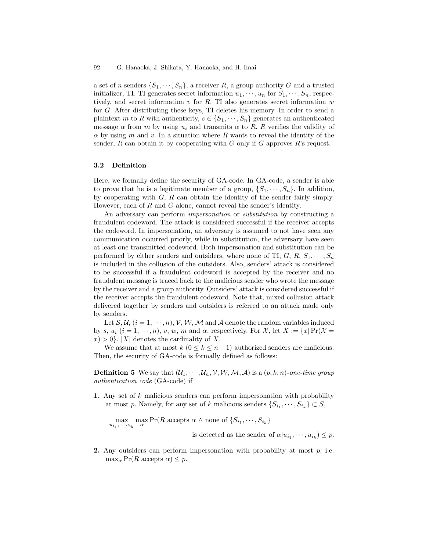a set of n senders  $\{S_1, \dots, S_n\}$ , a receiver R, a group authority G and a trusted initializer, TI. TI generates secret information  $u_1, \dots, u_n$  for  $S_1, \dots, S_n$ , respectively, and secret information  $v$  for  $R$ . TI also generates secret information  $w$ for G. After distributing these keys, TI deletes his memory. In order to send a plaintext m to R with authenticity,  $s \in \{S_1, \dots, S_n\}$  generates an authenticated message  $\alpha$  from m by using  $u_i$  and transmits  $\alpha$  to R. R verifies the validity of  $\alpha$  by using m and v. In a situation where R wants to reveal the identity of the sender, R can obtain it by cooperating with G only if G approves  $R$ 's request.

### 3.2 Definition

Here, we formally define the security of GA-code. In GA-code, a sender is able to prove that he is a legitimate member of a group,  $\{S_1, \dots, S_n\}$ . In addition, by cooperating with  $G, R$  can obtain the identity of the sender fairly simply. However, each of  $R$  and  $G$  alone, cannot reveal the sender's identity.

An adversary can perform impersonation or substitution by constructing a fraudulent codeword. The attack is considered successful if the receiver accepts the codeword. In impersonation, an adversary is assumed to not have seen any communication occurred priorly, while in substitution, the adversary have seen at least one transmitted codeword. Both impersonation and substitution can be performed by either senders and outsiders, where none of TI,  $G, R, S_1, \cdots, S_n$ is included in the collusion of the outsiders. Also, senders' attack is considered to be successful if a fraudulent codeword is accepted by the receiver and no fraudulent message is traced back to the malicious sender who wrote the message by the receiver and a group authority. Outsiders' attack is considered successful if the receiver accepts the fraudulent codeword. Note that, mixed collusion attack delivered together by senders and outsiders is referred to an attack made only by senders.

Let  $S, U_i$   $(i = 1, \dots, n)$ ,  $V, W, M$  and A denote the random variables induced by s,  $u_i$   $(i = 1, \dots, n)$ , v, w, m and  $\alpha$ , respectively. For X, let  $X := \{x | \Pr(X =$  $x$ ) > 0}. |X| denotes the cardinality of X.

We assume that at most  $k$  ( $0 \le k \le n-1$ ) authorized senders are malicious. Then, the security of GA-code is formally defined as follows:

**Definition 5** We say that  $(\mathcal{U}_1, \dots, \mathcal{U}_n, \mathcal{V}, \mathcal{W}, \mathcal{M}, \mathcal{A})$  is a  $(p, k, n)$ -one-time group authentication code (GA-code) if

1. Any set of k malicious senders can perform impersonation with probability at most p. Namely, for any set of k malicious senders  $\{S_{i_1}, \dots, S_{i_k}\} \subset S$ ,

max max Pr(R accepts  $\alpha \wedge$  none of  $\{S_{i_1}, \dots, S_{i_k}\}\$  $u_{i_1},\cdots,u_{i_k}$   $\alpha$ 

is detected as the sender of  $\alpha | u_{i_1}, \dots, u_{i_k} \rangle \leq p$ .

**2.** Any outsiders can perform impersonation with probability at most  $p$ , i.e.  $\max_{\alpha} \Pr(R \text{ accepts } \alpha) \leq p.$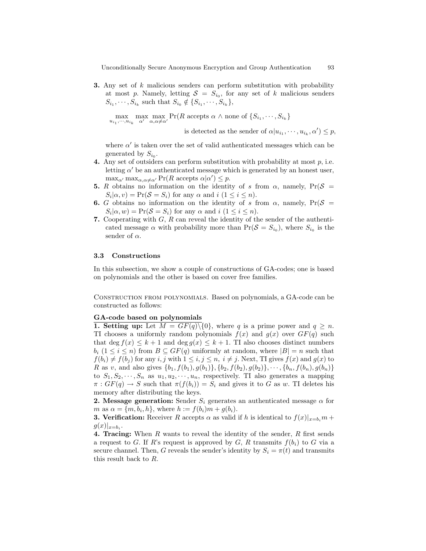**3.** Any set of k malicious senders can perform substitution with probability at most p. Namely, letting  $S = S_{i_0}$ , for any set of k malicious senders  $S_{i_1}, \cdots, S_{i_k}$  such that  $S_{i_0} \notin \{S_{i_1}, \cdots, S_{i_k}\},\$ 

```
max max \max_{u_{i_1}, \dots, u_{i_k}} \max_{\alpha'} \Pr(R \text{ accepts } \alpha \land \text{none of } \{S_{i_1}, \dots, S_{i_k}\}\)
```
is detected as the sender of  $\alpha|u_{i_1},\dots, u_{i_k}, \alpha' \rangle \leq p$ ,

where  $\alpha'$  is taken over the set of valid authenticated messages which can be generated by  $S_{i_0}$ .

- 4. Any set of outsiders can perform substitution with probability at most  $p$ , i.e. letting  $\alpha'$  be an authenticated message which is generated by an honest user,  $\max_{\alpha} \max_{\alpha,\alpha \neq \alpha'} \Pr(R \text{ accepts } \alpha | \alpha') \leq p.$
- 5. R obtains no information on the identity of s from  $\alpha$ , namely, Pr(S =  $S_i|\alpha, v) = \Pr(\mathcal{S} = S_i)$  for any  $\alpha$  and  $i$   $(1 \leq i \leq n)$ .
- 6. G obtains no information on the identity of s from  $\alpha$ , namely, Pr(S =  $S_i|\alpha, w) = \Pr(\mathcal{S} = S_i)$  for any  $\alpha$  and  $i$   $(1 \leq i \leq n)$ .
- 7. Cooperating with G, R can reveal the identity of the sender of the authenticated message  $\alpha$  with probability more than  $Pr(S = S_{i_0})$ , where  $S_{i_0}$  is the sender of  $\alpha$ .

### 3.3 Constructions

In this subsection, we show a couple of constructions of GA-codes; one is based on polynomials and the other is based on cover free families.

Construction from polynomials. Based on polynomials, a GA-code can be constructed as follows:

### GA-code based on polynomials

**1. Setting up:** Let  $M = GF(q) \setminus \{0\}$ , where q is a prime power and  $q \geq n$ . TI chooses a uniformly random polynomials  $f(x)$  and  $g(x)$  over  $GF(q)$  such that deg  $f(x) \leq k+1$  and deg  $g(x) \leq k+1$ . TI also chooses distinct numbers  $b_i$   $(1 \leq i \leq n)$  from  $B \subseteq GF(q)$  uniformly at random, where  $|B|=n$  such that  $f(b_i) \neq f(b_j)$  for any i, j with  $1 \leq i, j \leq n$ ,  $i \neq j$ . Next, TI gives  $f(x)$  and  $g(x)$  to R as v, and also gives  $\{b_1, f(b_1), g(b_1)\}, \{b_2, f(b_2), g(b_2)\}, \cdots, \{b_n, f(b_n), g(b_n)\}\$ to  $S_1, S_2, \dots, S_n$  as  $u_1, u_2, \dots, u_n$ , respectively. TI also generates a mapping  $\pi: GF(q) \to S$  such that  $\pi(f(b_i)) = S_i$  and gives it to G as w. TI deletes his memory after distributing the keys.

**2. Message generation:** Sender  $S_i$  generates an authenticated message  $\alpha$  for m as  $\alpha = \{m, b_i, h\}$ , where  $h := f(b_i)m + g(b_i)$ .

**3. Verification:** Receiver R accepts  $\alpha$  as valid if h is identical to  $f(x)|_{x=b}$ ,  $m +$  $g(x)|_{x=b_i}$ .

**4. Tracing:** When  $R$  wants to reveal the identity of the sender,  $R$  first sends a request to G. If R's request is approved by G, R transmits  $f(b_i)$  to G via a secure channel. Then, G reveals the sender's identity by  $S_i = \pi(t)$  and transmits this result back to R.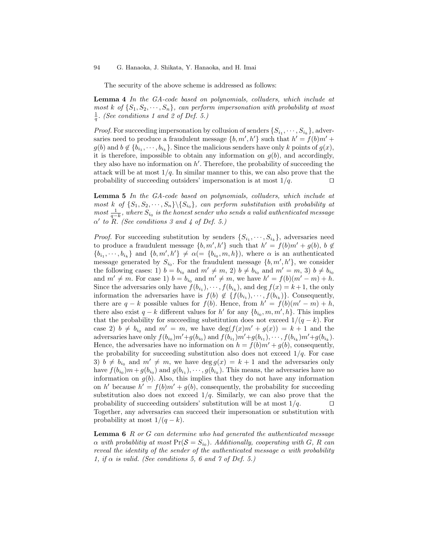The security of the above scheme is addressed as follows:

Lemma 4 In the GA-code based on polynomials, colluders, which include at most k of  $\{S_1, S_2, \dots, S_n\}$ , can perform impersonation with probability at most  $\frac{1}{q}$ . (See conditions 1 and 2 of Def. 5.)

*Proof.* For succeeding impersonation by collusion of senders  $\{S_{i_1}, \dots, S_{i_k}\}\$ , adversaries need to produce a fraudulent message  $\{b, m', h'\}$  such that  $h' = f(b)m' +$  $g(b)$  and  $b \notin \{b_{i_1}, \dots, b_{i_k}\}$ . Since the malicious senders have only k points of  $g(x)$ , it is therefore, impossible to obtain any information on  $q(b)$ , and accordingly, they also have no information on  $h'$ . Therefore, the probability of succeeding the attack will be at most  $1/q$ . In similar manner to this, we can also prove that the probability of succeeding outsiders' impersonation is at most  $1/q$ .

**Lemma 5** In the GA-code based on polynomials, colluders, which include at most k of  $\{S_1, S_2, \dots, S_n\} \backslash \{S_{i_0}\},\$  can perform substitution with probability at  ${\color{black} most\, \frac{1}{q-k},\, where\, S_{i_0} \, \, is\, the\, honest\, sender\, who\, sends\, a\, valid\, authenticated\, message}$  $\alpha'$  to R. (See conditions 3 and 4 of Def. 5.)

*Proof.* For succeeding substitution by senders  $\{S_{i_1}, \dots, S_{i_k}\}\$ , adversaries need to produce a fraudulent message  $\{b, m', h'\}$  such that  $h' = f(b)m' + g(b), b \notin$  ${b_{i_1}, \dots, b_{i_k}}$  and  ${b, m', h'} \neq \alpha (= {b_{i_0}, m, h})$ , where  $\alpha$  is an authenticated message generated by  $S_{i_0}$ . For the fraudulent message  $\{b, m', h'\}$ , we consider the following cases: 1)  $b = b_{i_0}$  and  $m' \neq m$ , 2)  $b \neq b_{i_0}$  and  $m' = m$ , 3)  $b \neq b_{i_0}$ and  $m' \neq m$ . For case 1)  $b = b_{i_0}$  and  $m' \neq m$ , we have  $h' = f(b)(m'-m) + h$ . Since the adversaries only have  $f(b_{i_1}), \dots, f(b_{i_k}),$  and  $\deg f(x) = k+1$ , the only information the adversaries have is  $f(b) \notin \{f(b_{i_1}), \dots, f(b_{i_k})\}$ . Consequently, there are  $q - k$  possible values for  $f(b)$ . Hence, from  $h' = f(b)(m' - m) + h$ , there also exist  $q - k$  different values for h' for any  $\{b_{i_0}, m, m', h\}$ . This implies that the probability for succeeding substitution does not exceed  $1/(q-k)$ . For case 2)  $b \neq b_{i_0}$  and  $m' = m$ , we have  $deg(f(x)m' + g(x)) = k + 1$  and the adversaries have only  $f(b_{i_0})m' + g(b_{i_0})$  and  $f(b_{i_1})m' + g(b_{i_1}), \dots, f(b_{i_k})m' + g(b_{i_k}).$ Hence, the adversaries have no information on  $h = f(b)m' + g(b)$ , consequently, the probability for succeeding substitution also does not exceed  $1/q$ . For case 3)  $b \neq b_{i_0}$  and  $m' \neq m$ , we have  $\deg g(x) = k + 1$  and the adversaries only have  $f(b_{i_0})m+g(b_{i_0})$  and  $g(b_{i_1}), \dots, g(b_{i_k})$ . This means, the adversaries have no information on  $g(b)$ . Also, this implies that they do not have any information on h' because  $h' = f(b)m' + g(b)$ , consequently, the probability for succeeding substitution also does not exceed  $1/q$ . Similarly, we can also prove that the probability of succeeding outsiders' substitution will be at most  $1/q$ . Together, any adversaries can succeed their impersonation or substitution with probability at most  $1/(q-k)$ .

**Lemma 6** R or G can determine who had generated the authenticated message  $\alpha$  with probablitiy at most  $Pr(\mathcal{S} = S_{i_0})$ . Additionally, cooperating with G, R can reveal the identity of the sender of the authenticated message  $\alpha$  with probability 1, if  $\alpha$  is valid. (See conditions 5, 6 and 7 of Def. 5.)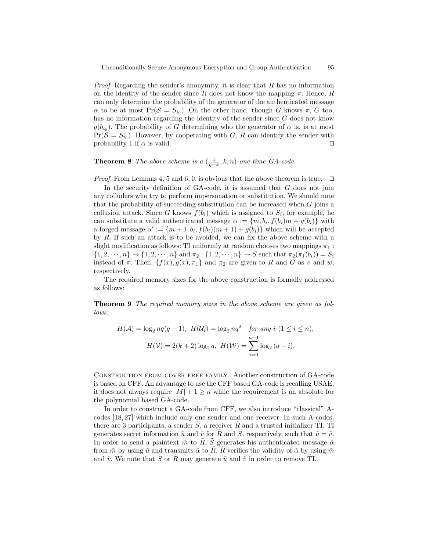*Proof.* Regarding the sender's anonymity, it is clear that  $R$  has no information on the identity of the sender since R does not know the mapping  $\pi$ . Hence, R can only determine the probability of the generator of the authenticated message  $\alpha$  to be at most  $Pr(\mathcal{S} = S_{i_0})$ . On the other hand, though G knows  $\pi$ , G too, has no information regarding the identity of the sender since G does not know  $g(b_{i_0})$ . The probability of G determining who the generator of  $\alpha$  is, is at most  $Pr(S = S_{i_0})$ . However, by cooperating with G, R can identify the sender with probability 1 if  $\alpha$  is valid.

# **Theorem 8** The above scheme is a  $\left(\frac{1}{q-k}, k, n\right)$ -one-time GA-code.

*Proof.* From Lemmas 4, 5 and 6, it is obvious that the above theorem is true.  $\Box$ 

In the security definition of  $GA\text{-code}$ , it is assumed that  $G$  does not join any colluders who try to perform impersonation or substitution. We should note that the probability of succeeding substitution can be increased when  $G$  joins a collusion attack. Since G knows  $f(b_i)$  which is assigned to  $S_i$ , for example, he can substitute a valid authenticated message  $\alpha := \{m, b_i, f(b_i)m + g(b_i)\}\$  with a forged message  $\alpha' := \{m+1, b_i, f(b_i)(m+1) + g(b_i)\}\$  which will be accepted by R. If such an attack is to be avoided, we can fix the above scheme with a slight modification as follows: TI uniformly at random chooses two mappings  $\pi_1$ :  $\{1, 2, \dots, n\} \to \{1, 2, \dots, n\}$  and  $\pi_2 : \{1, 2, \dots, n\} \to S$  such that  $\pi_2(\pi_1(b_i)) = S_i$ instead of  $\pi$ . Then,  $\{f(x), g(x), \pi_1\}$  and  $\pi_2$  are given to R and G as v and w, respectively.

The required memory sizes for the above construction is formally addressed as follows:

**Theorem 9** The required memory sizes in the above scheme are given as follows:

$$
H(\mathcal{A}) = \log_2 nq(q-1), \ H(\mathcal{U}_i) = \log_2 nq^2 \quad \text{for any } i \ (1 \le i \le n),
$$

$$
H(\mathcal{V}) = 2(k+2)\log_2 q, \ H(\mathcal{W}) = \sum_{i=0}^{n-1} \log_2 (q-i).
$$

Construction from cover free family. Another construction of GA-code is based on CFF. An advantage to use the CFF based GA-code is recalling USAE, it does not always require  $|M| + 1 \geq n$  while the requirement is an absolute for the polynomial based GA-code.

In order to construct a GA-code from CFF, we also introduce "classical" Acodes [18, 27] which include only one sender and one receiver. In such A-codes, there are 3 participants, a sender  $\tilde{S}$ , a receiver  $\tilde{R}$  and a trusted initializer TI. TI generates secret information  $\tilde{u}$  and  $\tilde{v}$  for  $\tilde{R}$  and  $\tilde{S}$ , respectively, such that  $\tilde{u} = \tilde{v}$ . In order to send a plaintext  $\tilde{m}$  to  $\tilde{R}$ ,  $\tilde{S}$  generates his authenticated message  $\tilde{\alpha}$ from  $\tilde{m}$  by using  $\tilde{u}$  and transmits  $\tilde{\alpha}$  to  $\tilde{R}$ .  $\tilde{R}$  verifies the validity of  $\tilde{\alpha}$  by using  $\tilde{m}$ and  $\tilde{v}$ . We note that  $\tilde{S}$  or  $\tilde{R}$  may generate  $\tilde{u}$  and  $\tilde{v}$  in order to remove TI.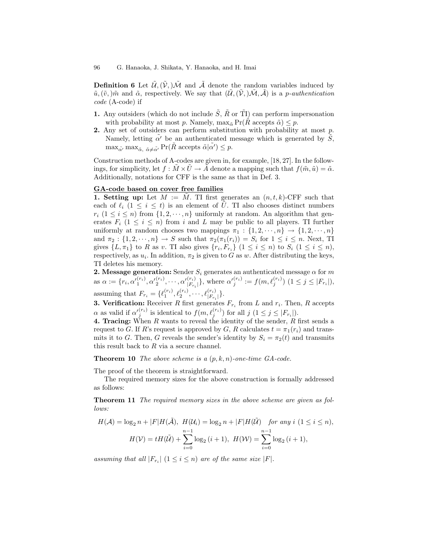**Definition 6** Let  $\tilde{U}$ ,  $(\tilde{V}$ ,  $)\tilde{M}$  and  $\tilde{A}$  denote the random variables induced by  $\tilde{u}, (\tilde{v},\tilde{m})$  and  $\tilde{\alpha}$ , respectively. We say that  $(\mathcal{U},(\mathcal{V}),\mathcal{M},\mathcal{A})$  is a p-authentication code (A-code) if

- 1. Any outsiders (which do not include  $\tilde{S}$ ,  $\tilde{R}$  or  $\tilde{T}I$ ) can perform impersonation with probability at most p. Namely,  $\max_{\tilde{\alpha}} \Pr(\tilde{R} \text{ accepts } \tilde{\alpha}) \leq p$ .
- 2. Any set of outsiders can perform substitution with probability at most p. Namely, letting  $\alpha'$  be an authenticated message which is generated by  $\tilde{S}$ ,  $\max_{\tilde{\alpha}} \max_{\tilde{\alpha}} \max_{\tilde{\alpha}} \tilde{\alpha} \neq \tilde{\alpha}$ <sup>'</sup> Pr(*R* accepts  $\tilde{\alpha}|\alpha' \leq p$ .

Construction methods of A-codes are given in, for example, [18, 27]. In the followings, for simplicity, let  $f : M \times U \to A$  denote a mapping such that  $f(\tilde{m}, \tilde{u}) = \tilde{\alpha}$ . Additionally, notations for CFF is the same as that in Def. 3.

### GA-code based on cover free families

1. Setting up: Let  $M := \tilde{M}$ . TI first generates an  $(n, t, k)$ -CFF such that each of  $\ell_i$  ( $1 \leq i \leq t$ ) is an element of  $\tilde{U}$ . TI also chooses distinct numbers  $r_i$   $(1 \leq i \leq n)$  from  $\{1, 2, \dots, n\}$  uniformly at random. An algorithm that generates  $F_i$  ( $1 \leq i \leq n$ ) from i and L may be public to all players. TI further uniformly at random chooses two mappings  $\pi_1 : \{1, 2, \dots, n\} \to \{1, 2, \dots, n\}$ and  $\pi_2 : \{1, 2, \dots, n\} \to S$  such that  $\pi_2(\pi_1(r_i)) = S_i$  for  $1 \le i \le n$ . Next, TI gives  $\{L, \pi_1\}$  to R as v. TI also gives  $\{r_i, F_{r_i}\}\ (1 \leq i \leq n)$  to  $S_i\ (1 \leq i \leq n)$ , respectively, as  $u_i$ . In addition,  $\pi_2$  is given to G as w. After distributing the keys, TI deletes his memory.

**2. Message generation:** Sender  $S_i$  generates an authenticated message  $\alpha$  for m as  $\alpha := \{r_i, \alpha'_{1}^{(r_i)}, \alpha'_{2}^{(r_i)}, \cdots, \alpha'_{|F_r|}^{(r_i)}\}$  $\binom{(r_i)}{|F_{r_i}|}$ , where  $\alpha'_{j}^{(r_i)} := f(m, \ell_j^{(r_i)})$   $(1 \le j \le |F_{r_i}|),$ assuming that  $F_{r_i} = \{ \ell_1^{(r_i)}, \ell_2^{(r_i)}, \cdots, \ell_{|F_{r_i}|}^{(r_i)} \}$  $\binom{[r_i]}{[F_{r_i}]}.$ 

**3. Verification:** Receiver R first generates  $F_{r_i}$  from L and  $r_i$ . Then, R accepts  $\alpha$  as valid if  $\alpha'_{j}^{(r_i)}$  is identical to  $f(m, \ell_j^{(r_i)})$  for all  $j \ (1 \leq j \leq |F_{r_i}|)$ .

**4. Tracing:** When R wants to reveal the identity of the sender,  $\hat{R}$  first sends a request to G. If R's request is approved by G, R calculates  $t = \pi_1(r_i)$  and transmits it to G. Then, G reveals the sender's identity by  $S_i = \pi_2(t)$  and transmits this result back to  $R$  via a secure channel.

**Theorem 10** The above scheme is a  $(p, k, n)$ -one-time GA-code.

The proof of the theorem is straightforward.

The required memory sizes for the above construction is formally addressed as follows:

**Theorem 11** The required memory sizes in the above scheme are given as follows:

$$
H(\mathcal{A}) = \log_2 n + |F| H(\tilde{\mathcal{A}}), \ H(\mathcal{U}_i) = \log_2 n + |F| H(\tilde{\mathcal{U}}) \quad \text{for any } i \ (1 \le i \le n),
$$

$$
H(\mathcal{V}) = t H(\tilde{\mathcal{U}}) + \sum_{i=0}^{n-1} \log_2 (i+1), \ H(\mathcal{W}) = \sum_{i=0}^{n-1} \log_2 (i+1),
$$

assuming that all  $|F_{r_i}|$   $(1 \leq i \leq n)$  are of the same size  $|F|$ .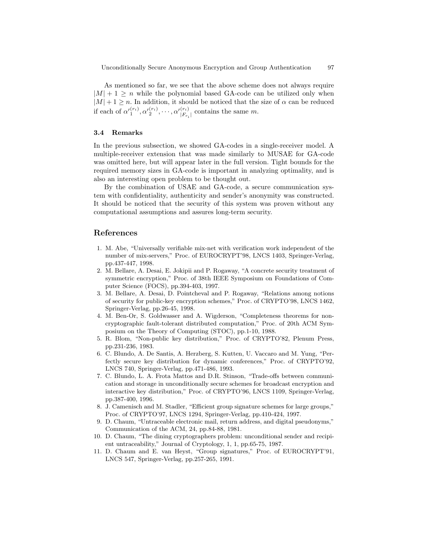As mentioned so far, we see that the above scheme does not always require  $|M| + 1 \geq n$  while the polynomial based GA-code can be utilized only when  $|M|+1 \geq n$ . In addition, it should be noticed that the size of  $\alpha$  can be reduced if each of  $\alpha'_{1}^{(r_i)}, \alpha'_{2}^{(r_i)}, \cdots, \alpha'_{|F_r|}^{(r_i)}$  $\prod_{|F_{r_i}|}^{(r_i)}$  contains the same m.

### 3.4 Remarks

In the previous subsection, we showed GA-codes in a single-receiver model. A multiple-receiver extension that was made similarly to MUSAE for GA-code was omitted here, but will appear later in the full version. Tight bounds for the required memory sizes in GA-code is important in analyzing optimality, and is also an interesting open problem to be thought out.

By the combination of USAE and GA-code, a secure communication system with confidentiality, authenticity and sender's anonymity was constructed. It should be noticed that the security of this system was proven without any computational assumptions and assures long-term security.

### References

- 1. M. Abe, "Universally verifiable mix-net with verification work independent of the number of mix-servers," Proc. of EUROCRYPT'98, LNCS 1403, Springer-Verlag, pp.437-447, 1998.
- 2. M. Bellare, A. Desai, E. Jokipii and P. Rogaway, "A concrete security treatment of symmetric encryption," Proc. of 38th IEEE Symposium on Foundations of Computer Science (FOCS), pp.394-403, 1997.
- 3. M. Bellare, A. Desai, D. Pointcheval and P. Rogaway, "Relations among notions of security for public-key encryption schemes," Proc. of CRYPTO'98, LNCS 1462, Springer-Verlag, pp.26-45, 1998.
- 4. M. Ben-Or, S. Goldwasser and A. Wigderson, "Completeness theorems for noncryptographic fault-tolerant distributed computation," Proc. of 20th ACM Symposium on the Theory of Computing (STOC), pp.1-10, 1988.
- 5. R. Blom, "Non-public key distribution," Proc. of CRYPTO'82, Plenum Press, pp.231-236, 1983.
- 6. C. Blundo, A. De Santis, A. Herzberg, S. Kutten, U. Vaccaro and M. Yung, "Perfectly secure key distribution for dynamic conferences," Proc. of CRYPTO'92, LNCS 740, Springer-Verlag, pp.471-486, 1993.
- 7. C. Blundo, L. A. Frota Mattos and D.R. Stinson, "Trade-offs between communication and storage in unconditionally secure schemes for broadcast encryption and interactive key distribution," Proc. of CRYPTO'96, LNCS 1109, Springer-Verlag, pp.387-400, 1996.
- 8. J. Camenisch and M. Stadler, "Efficient group signature schemes for large groups," Proc. of CRYPTO'97, LNCS 1294, Springer-Verlag, pp.410-424, 1997.
- 9. D. Chaum, "Untraceable electronic mail, return address, and digital pseudonyms," Communication of the ACM, 24, pp.84-88, 1981.
- 10. D. Chaum, "The dining cryptographers problem: unconditional sender and recipient untraceability," Journal of Cryptology, 1, 1, pp.65-75, 1987.
- 11. D. Chaum and E. van Heyst, "Group signatures," Proc. of EUROCRYPT'91, LNCS 547, Springer-Verlag, pp.257-265, 1991.